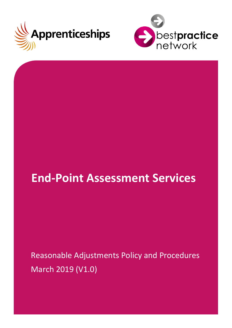



# **End-Point Assessment Services**

Reasonable Adjustments Policy and Procedures March 2019 (V1.0)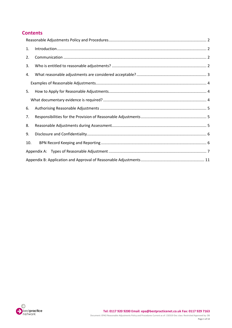# **Contents**

| 1.  |  |  |  |
|-----|--|--|--|
| 2.  |  |  |  |
| 3.  |  |  |  |
| 4.  |  |  |  |
|     |  |  |  |
| 5.  |  |  |  |
|     |  |  |  |
| 6.  |  |  |  |
| 7.  |  |  |  |
| 8.  |  |  |  |
| 9.  |  |  |  |
| 10. |  |  |  |
|     |  |  |  |
|     |  |  |  |

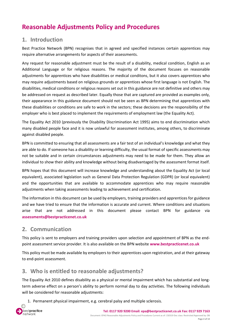# <span id="page-2-0"></span>**Reasonable Adjustments Policy and Procedures**

# <span id="page-2-1"></span>**1. Introduction**

Best Practice Network (BPN) recognises that in agreed and specified instances certain apprentices may require alternative arrangements for aspects of their assessments.

Any request for reasonable adjustment must be the result of a disability, medical condition, English as an Additional Language or for religious reasons. The majority of the document focuses on reasonable adjustments for apprentices who have disabilities or medical conditons, but it also covers apprentices who may require adjustments based on religious grounds or apprentices whose first language is not English. The disabilities, medical conditions or religious reasons set out in this guidance are not definitive and others may be addressed on request as described later. Equally those that are captured are provided as examples only, their appearance in this guidance document should not be seen as BPN determining that apprentices with these disabilities or conditions are safe to work in the sectors; these decisions are the responsibility of the employer who is best placed to implement the requirements of employment law (the Equality Act).

The Equality Act 2010 (previously the Disability Discrimination Act 1995) aims to end discrimination which many disabled people face and it is now unlawful for assessment institutes, among others, to discriminate against disabled people.

BPN is committed to ensuring that all assessments are a fair test of an individual's knowledge and what they are able to do. If someone has a disability or learning difficulty, the usual format of specific assessments may not be suitable and in certain circumstances adjustments may need to be made for them. They allow an individual to show their ability and knowledge without being disadvantaged by the assessment format itself.

BPN hopes that this document will increase knowledge and understanding about the Equality Act (or local equivalent), associated legislation such as General Data Protection Regulation (GDPR) (or local equivalent) and the opportunities that are available to accommodate apprentices who may require reasonable adjustments when taking assessments leading to achievement and certification.

The information in this document can be used by employers, training providers and apprentices for guidance and we have tried to ensure that the information is accurate and current. Where conditions and situations arise that are not addressed in this document please contact BPN for guidance via **[assessments@bestpracticenet.co.uk](mailto:assessments@bestpracticenet.co.uk)**

# <span id="page-2-2"></span>**2. Communication**

This policy is sent to employers and training providers upon selection and appointment of BPN as the endpoint assessment service provider. It is also available on the BPN website **[www.bestpracticenet.co.uk](http://www.bestpracticenet.co.uk/)**

This policy must be made available by employers to their apprentices upon registration, and at their gateway to end-point assessment.

# <span id="page-2-3"></span>**3. Who is entitled to reasonable adjustments?**

The Equality Act 2010 defines disability as a physical or mental impairment which has substantial and longterm adverse effect on a person's ability to perform normal day to day activities. The following individuals will be considered for reasonable adjustments:

1. Permanent physical impairment, e.g. cerebral palsy and multiple sclerosis.

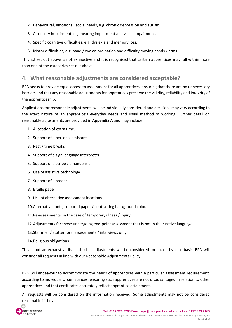- 2. Behavioural, emotional, social needs, e.g. chronic depression and autism.
- 3. A sensory impairment, e.g. hearing impairment and visual impairment.
- 4. Specific cognitive difficulties, e.g. dyslexia and memory loss.
- 5. Motor difficulties, e.g. hand / eye co-ordination and difficulty moving hands / arms.

This list set out above is not exhaustive and it is recognised that certain apprentices may fall within more than one of the categories set out above.

# <span id="page-3-0"></span>**4. What reasonable adjustments are considered acceptable?**

BPN seeks to provide equal access to assessment for all apprentices, ensuring that there are no unnecessary barriers and that any reasonable adjustments for apprentices preserve the validity, reliability and integrity of the apprenticeship.

Applications for reasonable adjustments will be individually considered and decisions may vary according to the exact nature of an apprentice's everyday needs and usual method of working. Further detail on reasonable adjustments are provided in **Appendix A** and may include:

- 1. Allocation of extra time.
- 2. Support of a personal assistant
- 3. Rest / time breaks
- 4. Support of a sign language interpreter
- 5. Support of a scribe / amanuensis
- 6. Use of assistive technology
- 7. Support of a reader
- 8. Braille paper
- 9. Use of alternative assessment locations
- 10.Alternative fonts, coloured paper / contrasting background colours
- 11.Re-assessments, in the case of temporary illness / injury
- 12.Adjustments for those undergoing end-point assessment that is not in their native language
- 13.Stammer / stutter (oral assessments / interviews only)
- 14.Religious obligations

This is not an exhaustive list and other adjustments will be considered on a case by case basis. BPN will consider all requests in line with our Reasonable Adjustments Policy.

BPN will endeavour to accommodate the needs of apprentices with a particular assessment requirement, according to individual circumstances, ensuring such apprentices are not disadvantaged in relation to other apprentices and that certificates accurately reflect apprentice attainment.

All requests will be considered on the information received. Some adjustments may not be considered reasonable if they:

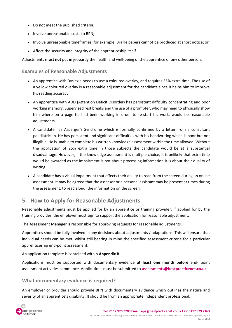- Do not meet the published criteria;
- Involve unreasonable costs to BPN;
- Involve unreasonable timeframes; for example, Braille papers cannot be produced at short notice; or
- Affect the security and integrity of the apprenticeship itself

Adjustments **must not** put in jeopardy the health and well-being of the apprentice or any other person.

#### <span id="page-4-0"></span>**Examples of Reasonable Adjustments**

- An apprentice with Dyslexia needs to use a coloured overlay, and requires 25% extra time. The use of a yellow coloured overlay is a reasonable adjustment for the candidate since it helps him to improve his reading accuracy.
- An apprentice with ADD (Attention Deficit Disorder) has persistent difficulty concentrating and poor working memory. Supervised rest breaks and the use of a prompter, who may need to physically show him where on a page he had been working in order to re-start his work, would be reasonable adjustments.
- A candidate has Asperger's Syndrome which is formally confirmed by a letter from a consultant paediatrician. He has persistent and significant difficulties with his handwriting which is poor but not illegible. He is unable to complete his written knowledge assessment within the time allowed. Without the application of 25% extra time in those subjects the candidate would be at a substantial disadvantage. However, if the knowledge assessment is multiple choice, it is unlikely that extra time would be awarded as the impairment is not about processing information it is about their quality of writing.
- A candidate has a visual impairment that affects their ability to read from the screen during an online assessment. It may be agreed that the assessor or a personal assistant may be present at times during the assessment, to read aloud, the information on the screen.

# <span id="page-4-1"></span>**5. How to Apply for Reasonable Adjustments**

Reasonable adjustments must be applied for by an apprentice or training provider. If applied for by the training provider, the employer must sign to support the application for reasonable adjustment.

The Assessment Manager is responsible for approving requests for reasonable adjustments.

Apprentices should be fully involved in any decisions about adjustments / adaptations. This will ensure that individual needs can be met, whilst still bearing in mind the specified assessment criteria for a particular apprenticeship end-point assessment.

An application template is contained within **Appendix B**.

Applications must be supported with documentary evidence **at least one month before** end- point assessment activities commence. Applications must be submitted to **[assessments@bestpracticenet.co.uk](mailto:assessments@bestpracticenet.co.uk)**

## <span id="page-4-2"></span>**What documentary evidence is required?**

An employer or provider should provide BPN with documentary evidence which outlines the nature and severity of an apprentice's disability. It should be from an appropriate independent professional.

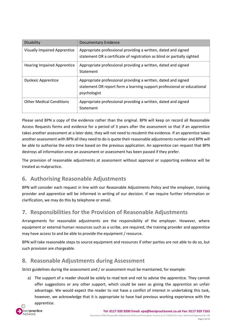| <b>Disability</b>                   | <b>Documentary Evidence</b>                                                                                                                               |
|-------------------------------------|-----------------------------------------------------------------------------------------------------------------------------------------------------------|
| <b>Visually Impaired Apprentice</b> | Appropriate professional providing a written, dated and signed<br>statement OR a certificate of registration as blind or partially sighted                |
| <b>Hearing Impaired Apprentice</b>  | Appropriate professional providing a written, dated and signed<br>Statement                                                                               |
| <b>Dyslexic Apprentice</b>          | Appropriate professional providing a written, dated and signed<br>statement OR report form a learning support professional or educational<br>psychologist |
| <b>Other Medical Conditions</b>     | Appropriate professional providing a written, dated and signed<br>Statement                                                                               |

Please send BPN a copy of the evidence rather than the original. BPN will keep on record all Reasonable Access Requests forms and evidence for a period of 3 years after the assessment so that if an apprentice takes another assessment at a later date, they will not need to resubmit the evidence. If an apprentice takes another assessment with BPN all they need to do is quote their reasonable adjustments number and BPN will be able to authorise the extra time based on the previous application. An apprentice can request that BPN destroys all information once an assessment or assessment has been passed if they prefer.

The provision of reasonable adjustments at assessment without approval or supporting evidence will be treated as malpractice.

# <span id="page-5-0"></span>**6. Authorising Reasonable Adjustments**

BPN will consider each request in line with our Reasonable Adjustments Policy and the employer, training provider and apprentice will be informed in writing of our decision. If we require further information or clarification, we may do this by telephone or email.

# <span id="page-5-1"></span>**7. Responsibilities for the Provision of Reasonable Adjustments**

Arrangements for reasonable adjustments are the responsibility of the employer. However, where equipment or external human resources such as a scribe, are required, the training provider and apprentice may have access to and be able to provide the equipment / resource.

BPN will take reasonable steps to source equipment and resources if other parties are not able to do so, but such provision are chargeable.

# <span id="page-5-2"></span>**8. Reasonable Adjustments during Assessment**

Strict guidelines during the assessment and / or assessment must be maintained, for example:

a) The support of a reader should be solely to read text and not to advise the apprentice. They cannot offer suggestions or any other support, which could be seen as giving the apprentice an unfair advantage. We would expect the reader to not have a conflict of interest in undertaking this task, however, we acknowledge that it is appropriate to have had previous working experience with the apprentice.

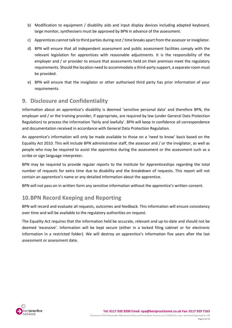- b) Modification to equipment / disability aids and input display devices including adapted keyboard, large monitor, synthesisers must be approved by BPN in advance of the assessment.
- c) Apprentices cannot talk to third parties during rest / time breaks apart from the assessor or invigilator.
- d) BPN will ensure that all independent assessment and public assessment facilities comply with the relevant legislation for apprentices with reasonable adjustments. It is the responsibility of the employer and / or provider to ensure that assessments held on their premises meet the regulatory requirements. Should the location need to accommodate a third-party support, a separate room must be provided.
- e) BPN will ensure that the invigilator or other authorised third party has prior information of your requirements.

# <span id="page-6-0"></span>**9. Disclosure and Confidentiality**

Information about an apprentice's disability is deemed 'sensitive personal data' and therefore BPN, the employer and / or the training provider, if appropriate, are required by law (under General Data Protection Regulation) to process the information 'fairly and lawfully'. BPN will keep in confidence all correspondence and documentation received in accordance with General Data Protection Regulation.

An apprentice's information will only be made available to those on a 'need to know' basis based on the Equality Act 2010. This will include BPN administrative staff, the assessor and / or the invigilator, as well as people who may be required to assist the apprentice during the assessment or the assessment such as a scribe or sign language interpreter.

BPN may be required to provide regular reports to the Institute for Apprenticeships regarding the total number of requests for extra time due to disability and the breakdown of requests. This report will not contain an apprentice's name or any detailed information about the apprentice.

BPN will not pass on in written form any sensitive information without the apprentice's written consent.

# <span id="page-6-1"></span>**10.BPN Record Keeping and Reporting**

BPN will record and evaluate all requests, outcomes and feedback. This information will ensure consistency over time and will be available to the regulatory authorities on request.

The Equality Act requires that the information held be accurate, relevant and up-to-date and should not be deemed 'excessive'. Information will be kept secure (either in a locked filing cabinet or for electronic information in a restricted folder). We will destroy an apprentice's information five years after the last assessment or assessment date.

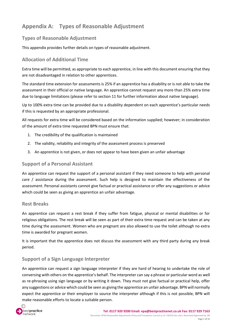# <span id="page-7-0"></span>**Appendix A: Types of Reasonable Adjustment**

## **Types of Reasonable Adjustment**

This appendix provides further details on types of reasonable adjustment.

# **Allocation of Additional Time**

Extra time will be permitted, as appropriate to each apprentice, in line with this document ensuring that they are not disadvantaged in relation to other apprentices.

The standard time extension for assessments is 25% if an apprentice has a disability or is not able to take the assessment in their official or native language. An apprentice cannot request any more than 25% extra time due to language limitations (please refer to section 11 for further information about native language).

Up to 100% extra time can be provided due to a disability dependent on each apprentice's particular needs if this is requested by an appropriate professional.

All requests for extra time will be considered based on the information supplied; however; in consideration of the amount of extra time requested BPN must ensure that:

- 1. The credibility of the qualification is maintained
- 2. The validity, reliability and integrity of the assessment process is preserved
- 3. An apprentice is not given, or does not appear to have been given an unfair advantage

#### **Support of a Personal Assistant**

An apprentice can request the support of a personal assistant if they need someone to help with personal care / assistance during the assessment. Such help is designed to maintain the effectiveness of the assessment. Personal assistants cannot give factual or practical assistance or offer any suggestions or advice which could be seen as giving an apprentice an unfair advantage.

#### **Rest Breaks**

An apprentice can request a rest break if they suffer from fatigue, physical or mental disabilities or for religious obligations. The rest break will be seen as part of their extra time request and can be taken at any time during the assessment. Women who are pregnant are also allowed to use the toilet although no extra time is awarded for pregnant women.

It is important that the apprentice does not discuss the assessment with any third party during any break period.

## **Support of a Sign Language Interpreter**

An apprentice can request a sign language interpreter if they are hard of hearing to undertake the role of conversing with others on the apprentice's behalf. The interpreter can say a phrase or particular word as well as re-phrasing using sign language or by writing it down. They must not give factual or practical help, offer any suggestions or advice which could be seen as giving the apprentice an unfair advantage. BPN will normally expect the apprentice or their employer to source the interpreter although if this is not possible, BPN will make reasonable efforts to locate a suitable person.

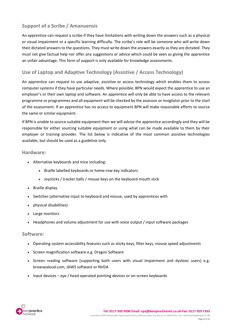# **Support of a Scribe / Amanuensis**

An apprentice can request a scribe if they have limitations with writing down the answers such as a physical or visual impairment or a specific learning difficulty. The scribe's role will be someone who will write down their dictated answers to the questions. They must write down the answers exactly as they are dictated. They must not give factual help nor offer any suggestions or advice which could be seen as giving the apprentice an unfair advantage. This form of support is only available for knowledge assessments.

# **Use of Laptop and Adaptive Technology (Assistive / Access Technology)**

An apprentice can request to use adaptive, assistive or access technology which enables them to access computer systems if they have particular needs. Where possible, BPN would expect the apprentice to use an employer's or their own laptop and software. An apprentice will only be able to have access to the relevant programme or programmes and all equipment will be checked by the assessor or invigilator prior to the start of the assessment. If an apprentice has no access to equipment BPN will make reasonable efforts to source the same or similar equipment.

If BPN is unable to source suitable equipment then we will advise the apprentice accordingly and they will be responsible for either sourcing suitable equipment or using what can be made available to them by their employer or training provider. The list below is indicative of the most common assistive technologies available, but should be used as a guideline only.

#### **Hardware:**

- Alternative keyboards and mice including:
	- Braille labelled keyboards or home-row key indicators
	- Joysticks / tracker balls / mouse keys on the keyboard mouth stick
- Braille display
- Switches (alternative input to keyboard and mouse, used by apprentices with
- physical disabilities)
- Large monitors
- Headphones and volume adjustment for use with voice output / input software packages

#### **Software:**

- Operating system accessibility features such as sticky keys, filter keys, mouse speed adjustments
- Screen magnification software e.g. Dragon Software
- Screen reading software (supporting both users with visual impairment and dyslexic users) e.g. browsealoud.com, JAWS software or NVDA
- Input devices eye / head operated pointing devices or on-screen keyboards

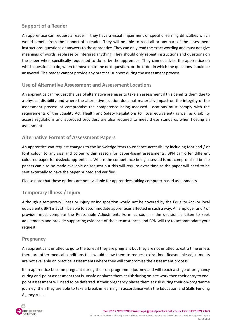## **Support of a Reader**

An apprentice can request a reader if they have a visual impairment or specific learning difficulties which would benefit from the support of a reader. They will be able to read all or any part of the assessment instructions, questions or answers to the apprentice. They can only read the exact wording and must not give meanings of words, rephrase or interpret anything. They should only repeat instructions and questions on the paper when specifically requested to do so by the apprentice. They cannot advise the apprentice on which questions to do, when to move on to the next question, or the order in which the questions should be answered. The reader cannot provide any practical support during the assessment process.

#### **Use of Alternative Assessment and Assessment Locations**

An apprentice can request the use of alternative premises to take an assessment if this benefits them due to a physical disability and where the alternative location does not materially impact on the integrity of the assessment process or compromise the competence being assessed. Locations must comply with the requirements of the Equality Act, Health and Safety Regulations (or local equivalent) as well as disability access regulations and approved providers are also required to meet these standards when hosting an assessment.

#### **Alternative Format of Assessment Papers**

An apprentice can request changes to the knowledge tests to enhance accessibility including font and / or font colour to any size and colour within reason for paper-based assessments. BPN can offer different coloured paper for dyslexic apprentices. Where the competence being assessed is not compromised braille papers can also be made available on request but this will require extra time as the paper will need to be sent externally to have the paper printed and verified.

Please note that these options are not available for apprentices taking computer-based assessments.

# **Temporary Illness / Injury**

Although a temporary illness or injury or indisposition would not be covered by the Equality Act (or local equivalent), BPN may still be able to accommodate apprentices affected in such a way. An employer and / or provider must complete the Reasonable Adjustments Form as soon as the decision is taken to seek adjustments and provide supporting evidence of the circumstances and BPN will try to accommodate your request.

#### **Pregnancy**

An apprentice is entitled to go to the toilet if they are pregnant but they are not entitled to extra time unless there are other medical conditions that would allow them to request extra time. Reasonable adjustments are not available on practical assessments where they will compromise the assessment process.

If an apprentice become pregnant during their on-programme journey and will reach a stage of pregnancy during end-point assessment that is unsafe or places them at risk during on-site work then their entry to endpoint assessment will need to be deferred. If their pregnancy places them at risk during their on-programme journey, then they are able to take a break in learning in accordance with the Education and Skills Funding Agency rules.

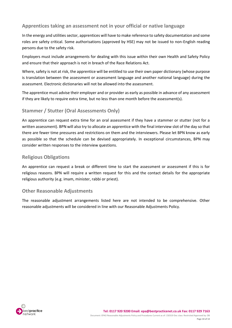## **Apprentices taking an assessment not in your official or native language**

In the energy and utilities sector, apprentices will have to make reference to safety documentation and some roles are safety critical. Some authorisations (approved by HSE) may not be issued to non-English reading persons due to the safety risk.

Employers must include arrangements for dealing with this issue within their own Health and Safety Policy and ensure that their approach is not in breach of the Race Relations Act.

Where, safety is not at risk, the apprentice will be entitled to use their own paper dictionary (whose purpose is translation between the assessment or assessment language and another national language) during the assessment. Electronic dictionaries will not be allowed into the assessment.

The apprentice must advise their employer and or provider as early as possible in advance of any assessment if they are likely to require extra time, but no less than one month before the assessment(s).

## **Stammer / Stutter (Oral Assessments Only)**

An apprentice can request extra time for an oral assessment if they have a stammer or stutter (not for a written assessment). BPN will also try to allocate an apprentice with the final interview slot of the day so that there are fewer time pressures and restrictions on them and the interviewers. Please let BPN know as early as possible so that the schedule can be devised appropriately. In exceptional circumstances, BPN may consider written responses to the interview questions.

#### **Religious Obligations**

An apprentice can request a break or different time to start the assessment or assessment if this is for religious reasons. BPN will require a written request for this and the contact details for the appropriate religious authority (e.g. imam, minister, rabbi or priest).

#### **Other Reasonable Adjustments**

The reasonable adjustment arrangements listed here are not intended to be comprehensive. Other reasonable adjustments will be considered in line with our Reasonable Adjustments Policy.

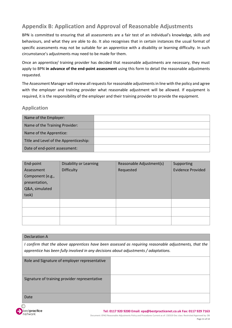# <span id="page-11-0"></span>**Appendix B: Application and Approval of Reasonable Adjustments**

BPN is committed to ensuring that all assessments are a fair test of an individual's knowledge, skills and behaviours, and what they are able to do. It also recognises that in certain instances the usual format of specific assessments may not be suitable for an apprentice with a disability or learning difficulty. In such circumstance's adjustments may need to be made for them.

Once an apprentice/ training provider has decided that reasonable adjustments are necessary, they must apply to BPN **in advance of the end-point assessment** using this form to detail the reasonable adjustments requested.

The Assessment Manager will review all requests for reasonable adjustments in line with the policy and agree with the employer and training provider what reasonable adjustment will be allowed. If equipment is required, it is the responsibility of the employer and their training provider to provide the equipment.

## **Application**

| Name of the Employer:                  |  |
|----------------------------------------|--|
| Name of the Training Provider:         |  |
| Name of the Apprentice:                |  |
| Title and Level of the Apprenticeship: |  |
| Date of end-point assessment:          |  |

| End-point        | Disability or Learning | Reasonable Adjustment(s) | Supporting               |
|------------------|------------------------|--------------------------|--------------------------|
| Assessment       | <b>Difficulty</b>      | Requested                | <b>Evidence Provided</b> |
| Component (e.g., |                        |                          |                          |
| presentation,    |                        |                          |                          |
| Q&A, simulated   |                        |                          |                          |
| task)            |                        |                          |                          |
|                  |                        |                          |                          |
|                  |                        |                          |                          |
|                  |                        |                          |                          |

#### Declaration A

*I confirm that the above apprentices have been assessed as requiring reasonable adjustments, that the apprentice has been fully involved in any decisions about adjustments / adaptations.*

| Role and Signature of employer representative |  |
|-----------------------------------------------|--|
| Signature of training provider representative |  |
| Date                                          |  |